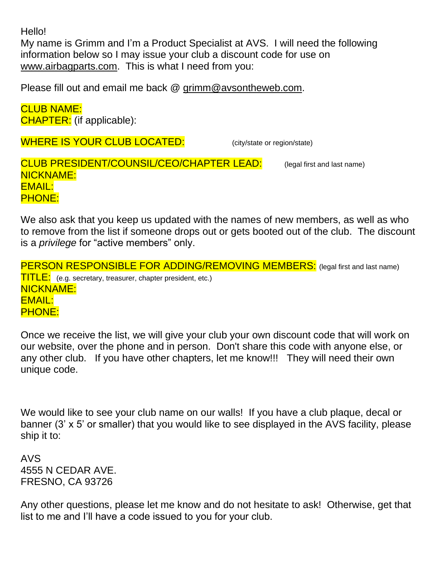Hello!

My name is Grimm and I'm a Product Specialist at AVS. I will need the following information below so I may issue your club a discount code for use on [www.airbagparts.com.](http://www.airbagparts.com/) This is what I need from you:

Please fill out and email me back @ [grimm@avsontheweb.com.](mailto:grimm@avsontheweb.com)

CLUB NAME: CHAPTER: (if applicable):

WHERE IS YOUR CLUB LOCATED: (city/state or region/state)

CLUB PRESIDENT/COUNSIL/CEO/CHAPTER LEAD: (legal first and last name) NICKNAME: EMAIL: PHONE:

We also ask that you keep us updated with the names of new members, as well as who to remove from the list if someone drops out or gets booted out of the club. The discount is a *privilege* for "active members" only.

PERSON RESPONSIBLE FOR ADDING/REMOVING MEMBERS: (legal first and last name) **TITLE:** (e.g. secretary, treasurer, chapter president, etc.) NICKNAME: EMAIL: PHONE:

Once we receive the list, we will give your club your own discount code that will work on our website, over the phone and in person. Don't share this code with anyone else, or any other club. If you have other chapters, let me know!!! They will need their own unique code.

We would like to see your club name on our walls! If you have a club plaque, decal or banner (3' x 5' or smaller) that you would like to see displayed in the AVS facility, please ship it to:

AVS 4555 N CEDAR AVE. FRESNO, CA 93726

Any other questions, please let me know and do not hesitate to ask! Otherwise, get that list to me and I'll have a code issued to you for your club.